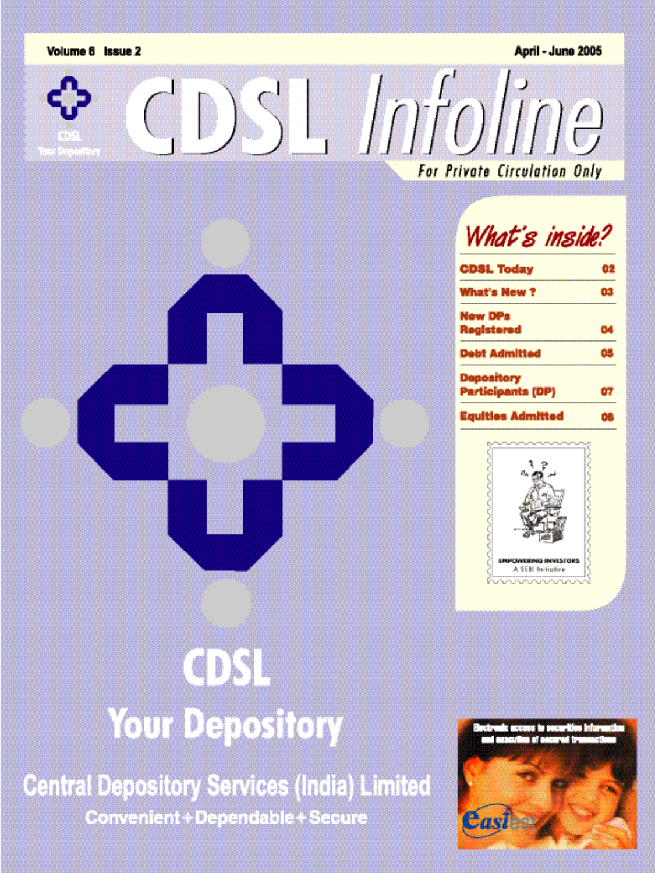

**Central Depository Services (India) Limited** Convenient+Dependable+Secure

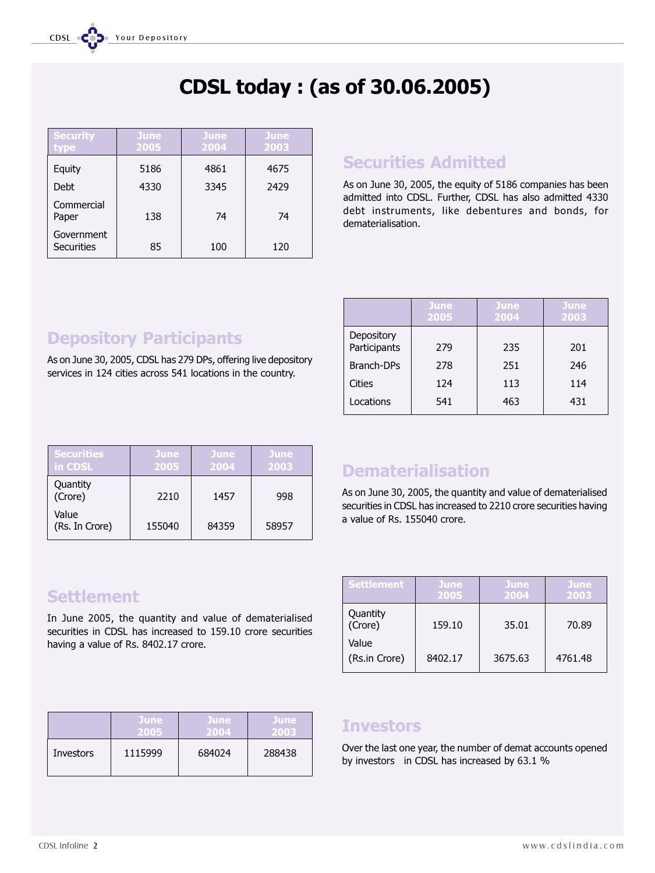# **CDSL today : (as of 30.06.2005)**

| <b>Security</b><br>type  | <b>June</b><br>2005 | <b>June</b><br>2004 | June<br>2003 |
|--------------------------|---------------------|---------------------|--------------|
| Equity                   | 5186                | 4861                | 4675         |
| Debt                     | 4330                | 3345                | 2429         |
| Commercial<br>Paper      | 138                 | 74                  | 74           |
| Government<br>Securities | 85                  | 100                 | 120          |

### **Securities Admitted**

As on June 30, 2005, the equity of 5186 companies has been admitted into CDSL. Further, CDSL has also admitted 4330 debt instruments, like debentures and bonds, for dematerialisation.

## **Depository Participants**

As on June 30, 2005, CDSL has 279 DPs, offering live depository services in 124 cities across 541 locations in the country.

|                            | June<br>2005 | <b>June</b><br>2004 | June<br>2003 |
|----------------------------|--------------|---------------------|--------------|
| Depository<br>Participants | 279          | 235                 | 201          |
| Branch-DPs                 | 278          | 251                 | 246          |
| Cities                     | 124          | 113                 | 114          |
| Locations                  | 541          | 463                 | 431          |

| <b>Securities</b><br>in CDSL | <b>June</b><br>2005 | <b>June</b><br>2004 | June<br>2003 |
|------------------------------|---------------------|---------------------|--------------|
| Quantity<br>(Crore)          | 2210                | 1457                | 998          |
| Value<br>(Rs. In Crore)      | 155040              | 84359               | 58957        |

### **Dematerialisation**

As on June 30, 2005, the quantity and value of dematerialised securities in CDSL has increased to 2210 crore securities having a value of Rs. 155040 crore.

| <b>Settlement</b>      | <b>June</b><br>2005 | <b>June</b><br>2004 | <b>June</b><br>2003 |
|------------------------|---------------------|---------------------|---------------------|
| Quantity<br>(Crore)    | 159.10              | 35.01               | 70.89               |
| Value<br>(Rs.in Crore) | 8402.17             | 3675.63             | 4761.48             |

### **Settlement**

In June 2005, the quantity and value of dematerialised securities in CDSL has increased to 159.10 crore securities having a value of Rs. 8402.17 crore.

|           | <b>June</b> | <b>June</b> | <b>June</b> |
|-----------|-------------|-------------|-------------|
|           | 2005        | 2004        | 2003        |
| Investors | 1115999     | 684024      | 288438      |

#### **Investors**

Over the last one year, the number of demat accounts opened by investors in CDSL has increased by 63.1 %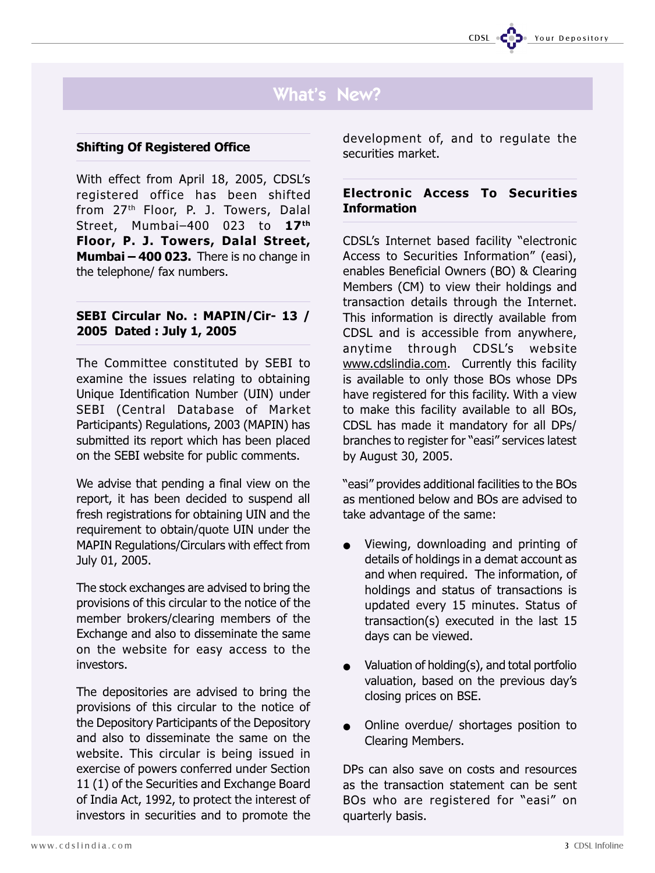### What's New?

#### **Shifting Of Registered Office**

With effect from April 18, 2005, CDSL's registered office has been shifted from 27th Floor, P. J. Towers, Dalal Street, Mumbai-400 023 to 17<sup>th</sup> **Floor, P. J. Towers, Dalal Street, Mumbai - 400 023.** There is no change in the telephone/ fax numbers.

#### **SEBI Circular No. : MAPIN/Cir- 13 / 2005 Dated : July 1, 2005**

The Committee constituted by SEBI to examine the issues relating to obtaining Unique Identification Number (UIN) under SEBI (Central Database of Market Participants) Regulations, 2003 (MAPIN) has submitted its report which has been placed on the SEBI website for public comments.

We advise that pending a final view on the report, it has been decided to suspend all fresh registrations for obtaining UIN and the requirement to obtain/quote UIN under the MAPIN Regulations/Circulars with effect from July 01, 2005.

The stock exchanges are advised to bring the provisions of this circular to the notice of the member brokers/clearing members of the Exchange and also to disseminate the same on the website for easy access to the investors.

The depositories are advised to bring the provisions of this circular to the notice of the Depository Participants of the Depository and also to disseminate the same on the website. This circular is being issued in exercise of powers conferred under Section 11 (1) of the Securities and Exchange Board of India Act, 1992, to protect the interest of investors in securities and to promote the development of, and to regulate the securities market.

#### **Electronic Access To Securities Information**

CDSL's Internet based facility "electronic Access to Securities Information" (easi), enables Beneficial Owners (BO) & Clearing Members (CM) to view their holdings and transaction details through the Internet. This information is directly available from CDSL and is accessible from anywhere, anytime through CDSL's website www.cdslindia.com. Currently this facility is available to only those BOs whose DPs have registered for this facility. With a view to make this facility available to all BOs, CDSL has made it mandatory for all DPs/ branches to register for "easi" services latest by August 30, 2005.

"easi" provides additional facilities to the BOs as mentioned below and BOs are advised to take advantage of the same:

- Viewing, downloading and printing of details of holdings in a demat account as and when required. The information, of holdings and status of transactions is updated every 15 minutes. Status of transaction(s) executed in the last 15 days can be viewed.
- Valuation of holding(s), and total portfolio valuation, based on the previous day's closing prices on BSE.
- Online overdue/ shortages position to Clearing Members.

DPs can also save on costs and resources as the transaction statement can be sent BOs who are registered for "easi" on quarterly basis.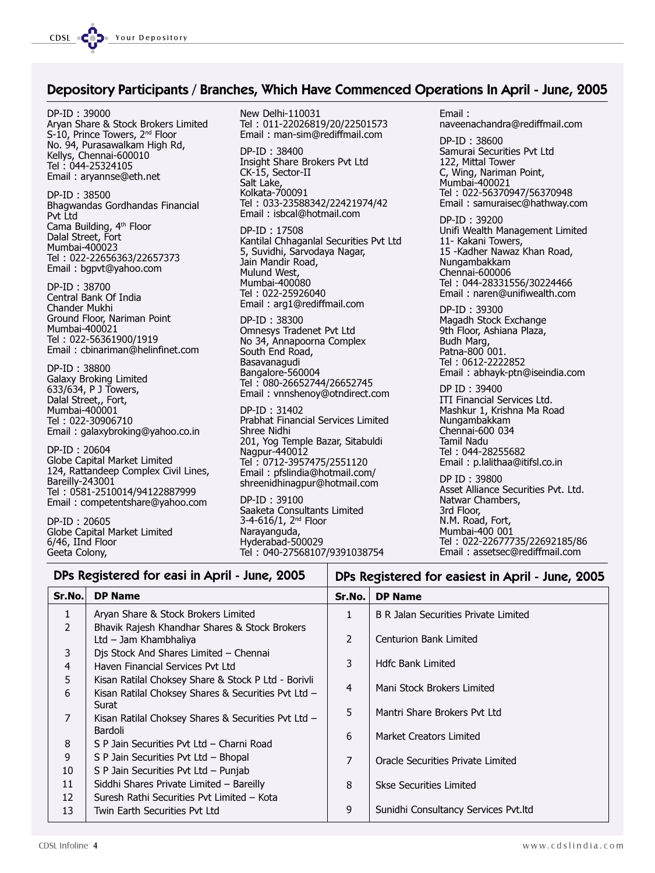

#### Depository Participants / Branches, Which Have Commenced Operations In April - June, 2005

DP-ID : 39000 Aryan Share & Stock Brokers Limited S-10, Prince Towers, 2<sup>nd</sup> Floor No. 94, Purasawalkam High Rd, Kellys, Chennai-600010 Tel : 044-25324105 Email : aryannse@eth.net

DP-ID : 38500 Bhagwandas Gordhandas Financial Pvt Ltd Cama Building, 4th Floor Dalal Street, Fort Mumbai-400023 Tel : 022-22656363/22657373 Email : bgpvt@yahoo.com

DP-ID : 38700 Central Bank Of India Chander Mukhi Ground Floor, Nariman Point Mumbai-400021 Tel : 022-56361900/1919 Email : cbinariman@helinfinet.com

DP-ID : 38800 Galaxy Broking Limited 633/634, P J Towers, Dalal Street,, Fort, Mumbai-400001 Tel : 022-30906710 Email : galaxybroking@yahoo.co.in

DP-ID : 20604 Globe Capital Market Limited 124, Rattandeep Complex Civil Lines, Bareilly-243001 Tel : 0581-2510014/94122887999 Email : competentshare@yahoo.com

DP-ID : 20605 Globe Capital Market Limited 6/46, IInd Floor Geeta Colony,

New Delhi-110031 Tel : 011-22026819/20/22501573 Email : man-sim@rediffmail.com DP-ID : 38400 Insight Share Brokers Pvt Ltd CK-15, Sector-II Salt Lake, Kolkata-700091 Tel : 033-23588342/22421974/42 Email : isbcal@hotmail.com DP-ID : 17508 Kantilal Chhaganlal Securities Pvt Ltd 5, Suvidhi, Sarvodaya Nagar, Jain Mandir Road, Mulund West, Mumbai-400080

Tel : 022-25926040 Email : arg1@rediffmail.com

DP-ID : 38300 Omnesys Tradenet Pvt Ltd No 34, Annapoorna Complex South End Road, Basavanagudi Bangalore-560004 Tel : 080-26652744/26652745 Email : vnnshenoy@otndirect.com

DP-ID : 31402 Prabhat Financial Services Limited Shree Nidhi 201, Yog Temple Bazar, Sitabuldi Nagpur-440012 Tel : 0712-3957475/2551120 Email : pfslindia@hotmail.com/ shreenidhinagpur@hotmail.com

DP-ID : 39100 Saaketa Consultants Limited 3-4-616/1, 2nd Floor Narayanguda, Hyderabad-500029 Tel : 040-27568107/9391038754

Email : naveenachandra@rediffmail.com DP-ID : 38600 Samurai Securities Pvt Ltd 122, Mittal Tower C, Wing, Nariman Point, Mumbai-400021 Tel : 022-56370947/56370948 Email : samuraisec@hathway.com DP-ID : 39200 Unifi Wealth Management Limited 11- Kakani Towers, 15 -Kadher Nawaz Khan Road, Nungambakkam Chennai-600006 Tel : 044-28331556/30224466 Email : naren@unifiwealth.com DP-ID : 39300 Magadh Stock Exchange 9th Floor, Ashiana Plaza, Budh Marg, Patna-800 001. Tel : 0612-2222852 Email : abhayk-ptn@iseindia.com DP ID : 39400 ITI Financial Services Ltd. Mashkur 1, Krishna Ma Road Nungambakkam Chennai-600 034 Tamil Nadu

Tel : 044-28255682 Email : p.lalithaa@itifsl.co.in

DP ID : 39800 Asset Alliance Securities Pvt. Ltd. Natwar Chambers, 3rd Floor, N.M. Road, Fort, Mumbai-400 001 Tel : 022-22677735/22692185/86 Email : assetsec@rediffmail.com

DPs Registered for easiest in April - June, 2005

#### DPs Registered for easi in April - June, 2005

| Sr.No.          | <b>DP Name</b>                                                         | Sr.No.         | <b>DP Name</b>                              |
|-----------------|------------------------------------------------------------------------|----------------|---------------------------------------------|
| $\mathbf{1}$    | Aryan Share & Stock Brokers Limited                                    | 1.             | <b>B R Jalan Securities Private Limited</b> |
| $\mathcal{P}$   | Bhavik Rajesh Khandhar Shares & Stock Brokers<br>Ltd - Jam Khambhaliya | $\mathcal{P}$  | Centurion Bank Limited                      |
| 3               | Djs Stock And Shares Limited - Chennai                                 |                |                                             |
| 4               | Haven Financial Services Pvt Ltd                                       | 3              | <b>Hdfc Bank Limited</b>                    |
| 5               | Kisan Ratilal Choksey Share & Stock P Ltd - Borivli                    | $\overline{4}$ | Mani Stock Brokers Limited                  |
| 6               | Kisan Ratilal Choksey Shares & Securities Pvt Ltd -                    |                |                                             |
|                 | Surat                                                                  | 5              | Mantri Share Brokers Pvt Ltd                |
| 7               | Kisan Ratilal Choksey Shares & Securities Pvt Ltd -                    |                |                                             |
|                 | Bardoli                                                                | 6              | Market Creators Limited                     |
| 8               | S P Jain Securities Pvt Ltd - Charni Road                              |                |                                             |
| 9               | S P Jain Securities Pvt Ltd - Bhopal                                   | $\overline{7}$ | Oracle Securities Private Limited           |
| 10              | S P Jain Securities Pvt Ltd - Punjab                                   |                |                                             |
| 11              | Siddhi Shares Private Limited - Bareilly                               | 8              | <b>Skse Securities Limited</b>              |
| 12 <sup>2</sup> | Suresh Rathi Securities Pvt Limited - Kota                             |                |                                             |
| 13              | Twin Earth Securities Pvt Ltd                                          | 9              | Sunidhi Consultancy Services Pvt.ltd        |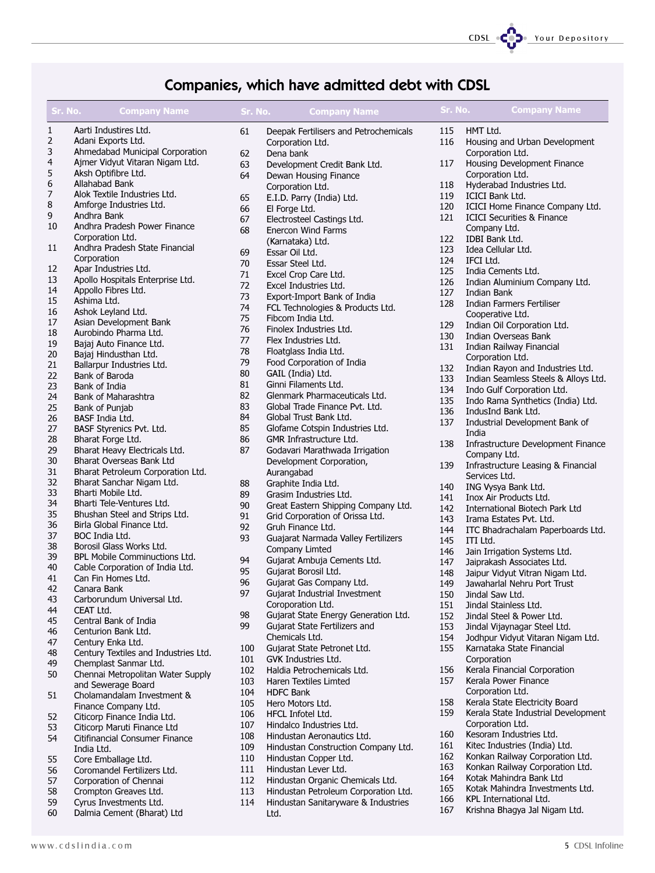

### Companies, which have admitted debt with CDSL

| Sr. No.        | <b>Company Name</b>                       | Sr. No. | <b>Company Name</b>                   | Sr. No.    | <b>Company Name</b>                                                      |
|----------------|-------------------------------------------|---------|---------------------------------------|------------|--------------------------------------------------------------------------|
| $\mathbf{1}$   | Aarti Industires Ltd.                     | 61      | Deepak Fertilisers and Petrochemicals | 115        | HMT Ltd.                                                                 |
| $\overline{2}$ | Adani Exports Ltd.                        |         | Corporation Ltd.                      | 116        | Housing and Urban Development                                            |
| 3              | Ahmedabad Municipal Corporation           | 62      | Dena bank                             |            | Corporation Ltd.                                                         |
| 4              | Ajmer Vidyut Vitaran Nigam Ltd.           | 63      | Development Credit Bank Ltd.          | 117        | Housing Development Finance                                              |
| 5              | Aksh Optifibre Ltd.                       | 64      | Dewan Housing Finance                 |            | Corporation Ltd.                                                         |
| 6              | Allahabad Bank                            |         | Corporation Ltd.                      | 118        | Hyderabad Industries Ltd.                                                |
| 7              | Alok Textile Industries Ltd.              | 65      | E.I.D. Parry (India) Ltd.             | 119        | ICICI Bank Ltd.                                                          |
| 8              | Amforge Industries Ltd.                   | 66      | El Forge Ltd.                         | 120        | ICICI Home Finance Company Ltd.                                          |
| 9              | Andhra Bank                               | 67      | Electrosteel Castings Ltd.            | 121        | <b>ICICI Securities &amp; Finance</b>                                    |
| 10             | Andhra Pradesh Power Finance              | 68      | Enercon Wind Farms                    |            | Company Ltd.                                                             |
|                | Corporation Ltd.                          |         | (Karnataka) Ltd.                      | 122        | IDBI Bank Ltd.                                                           |
| 11             | Andhra Pradesh State Financial            | 69      | Essar Oil Ltd.                        | 123        | Idea Cellular Ltd.                                                       |
|                | Corporation                               | 70      | Essar Steel Ltd.                      | 124        | IFCI Ltd.                                                                |
| 12             | Apar Industries Ltd.                      | 71      | Excel Crop Care Ltd.                  | 125        | India Cements Ltd.                                                       |
| 13             | Apollo Hospitals Enterprise Ltd.          | 72      | Excel Industries Ltd.                 | 126        | Indian Aluminium Company Ltd.                                            |
| 14             | Appollo Fibres Ltd.                       |         |                                       | 127        | Indian Bank                                                              |
| 15             | Ashima Ltd.                               | 73      | Export-Import Bank of India           | 128        | Indian Farmers Fertiliser                                                |
| 16             | Ashok Leyland Ltd.                        | 74      | FCL Technologies & Products Ltd.      |            | Cooperative Ltd.                                                         |
| 17             | Asian Development Bank                    | 75      | Fibcom India Ltd.                     | 129        | Indian Oil Corporation Ltd.                                              |
| 18             | Aurobindo Pharma Ltd.                     | 76      | Finolex Industries Ltd.               | 130        | Indian Overseas Bank                                                     |
| 19             | Bajaj Auto Finance Ltd.                   | 77      | Flex Industries Ltd.                  | 131        | Indian Railway Financial                                                 |
| 20             | Bajaj Hindusthan Ltd.                     | 78      | Floatglass India Ltd.                 |            | Corporation Ltd.                                                         |
| 21             | Ballarpur Industries Ltd.                 | 79      | Food Corporation of India             |            |                                                                          |
| 22             | Bank of Baroda                            | 80      | GAIL (India) Ltd.                     | 132<br>133 | Indian Rayon and Industries Ltd.<br>Indian Seamless Steels & Alloys Ltd. |
| 23             | Bank of India                             | 81      | Ginni Filaments Ltd.                  |            |                                                                          |
| 24             | Bank of Maharashtra                       | 82      | Glenmark Pharmaceuticals Ltd.         | 134        | Indo Gulf Corporation Ltd.                                               |
| 25             | Bank of Punjab                            | 83      | Global Trade Finance Pvt. Ltd.        | 135        | Indo Rama Synthetics (India) Ltd.                                        |
| 26             | BASF India Ltd.                           | 84      | Global Trust Bank Ltd.                | 136        | IndusInd Bank Ltd.                                                       |
| 27             | BASF Styrenics Pvt. Ltd.                  | 85      | Glofame Cotspin Industries Ltd.       | 137        | Industrial Development Bank of                                           |
| 28             | Bharat Forge Ltd.                         | 86      | GMR Infrastructure Ltd.               |            | India                                                                    |
| 29             | Bharat Heavy Electricals Ltd.             | 87      | Godavari Marathwada Irrigation        | 138        | Infrastructure Development Finance                                       |
| 30             | Bharat Overseas Bank Ltd                  |         | Development Corporation,              |            | Company Ltd.                                                             |
| 31             | Bharat Petroleum Corporation Ltd.         |         | Aurangabad                            | 139        | Infrastructure Leasing & Financial                                       |
| 32             | Bharat Sanchar Nigam Ltd.                 | 88      | Graphite India Ltd.                   |            | Services Ltd.                                                            |
| 33             | Bharti Mobile Ltd.                        | 89      |                                       | 140        | ING Vysya Bank Ltd.                                                      |
| 34             | Bharti Tele-Ventures Ltd.                 |         | Grasim Industries Ltd.                | 141        | Inox Air Products Ltd.                                                   |
| 35             | Bhushan Steel and Strips Ltd.             | 90      | Great Eastern Shipping Company Ltd.   | 142        | International Biotech Park Ltd                                           |
| 36             | Birla Global Finance Ltd.                 | 91      | Grid Corporation of Orissa Ltd.       | 143        | Irama Estates Pvt. Ltd.                                                  |
| 37             | BOC India Ltd.                            | 92      | Gruh Finance Ltd.                     | 144        | ITC Bhadrachalam Paperboards Ltd.                                        |
| 38             | Borosil Glass Works Ltd.                  | 93      | Guajarat Narmada Valley Fertilizers   | 145        | ITI Ltd.                                                                 |
| 39             | BPL Mobile Comminuctions Ltd.             |         | Company Limted                        | 146        | Jain Irrigation Systems Ltd.                                             |
| 40             | Cable Corporation of India Ltd.           | 94      | Gujarat Ambuja Cements Ltd.           | 147        | Jaiprakash Associates Ltd.                                               |
| 41             | Can Fin Homes Ltd.                        | 95      | Gujarat Borosil Ltd.                  | 148        | Jaipur Vidyut Vitran Nigam Ltd.                                          |
|                |                                           | 96      | Gujarat Gas Company Ltd.              | 149        | Jawaharlal Nehru Port Trust                                              |
| 42<br>43       | Canara Bank<br>Carborundum Universal Ltd. | 97      | Gujarat Industrial Investment         | 150        | Jindal Saw Ltd.                                                          |
|                | CEAT Ltd.                                 |         | Coroporation Ltd.                     | 151        | Jindal Stainless Ltd.                                                    |
| 44             |                                           | 98      | Gujarat State Energy Generation Ltd.  | 152        | Jindal Steel & Power Ltd.                                                |
| 45             | Central Bank of India                     | 99      | Gujarat State Fertilizers and         | 153        | Jindal Vijaynagar Steel Ltd.                                             |
| 46             | Centurion Bank Ltd.                       |         | Chemicals Ltd.                        | 154        | Jodhpur Vidyut Vitaran Nigam Ltd.                                        |
| 47             | Century Enka Ltd.                         | 100     | Gujarat State Petronet Ltd.           | 155        | Karnataka State Financial                                                |
| 48             | Century Textiles and Industries Ltd.      | 101     | GVK Industries Ltd.                   |            | Corporation                                                              |
| 49             | Chemplast Sanmar Ltd.                     | 102     | Haldia Petrochemicals Ltd.            | 156        | Kerala Financial Corporation                                             |
| 50             | Chennai Metropolitan Water Supply         | 103     | Haren Textiles Limted                 | 157        | Kerala Power Finance                                                     |
|                | and Sewerage Board                        | 104     | <b>HDFC Bank</b>                      |            | Corporation Ltd.                                                         |
| 51             | Cholamandalam Investment &                | 105     | Hero Motors Ltd.                      | 158        | Kerala State Electricity Board                                           |
|                | Finance Company Ltd.                      | 106     | HFCL Infotel Ltd.                     | 159        | Kerala State Industrial Development                                      |
| 52             | Citicorp Finance India Ltd.               | 107     | Hindalco Industries Ltd.              |            | Corporation Ltd.                                                         |
| 53             | Citicorp Maruti Finance Ltd               | 108     | Hindustan Aeronautics Ltd.            | 160        | Kesoram Industries Ltd.                                                  |
| 54             | Citifinancial Consumer Finance            |         |                                       | 161        | Kitec Industries (India) Ltd.                                            |
|                | India Ltd.                                | 109     | Hindustan Construction Company Ltd.   | 162        | Konkan Railway Corporation Ltd.                                          |
| 55             | Core Emballage Ltd.                       | 110     | Hindustan Copper Ltd.                 | 163        | Konkan Railway Corporation Ltd.                                          |
| 56             | Coromandel Fertilizers Ltd.               | 111     | Hindustan Lever Ltd.                  | 164        | Kotak Mahindra Bank Ltd                                                  |
| 57             | Corporation of Chennai                    | 112     | Hindustan Organic Chemicals Ltd.      | 165        | Kotak Mahindra Investments Ltd.                                          |
| 58             | Crompton Greaves Ltd.                     | 113     | Hindustan Petroleum Corporation Ltd.  | 166        | KPL International Ltd.                                                   |
| 59             | Cyrus Investments Ltd.                    | 114     | Hindustan Sanitaryware & Industries   | 167        |                                                                          |
| 60             | Dalmia Cement (Bharat) Ltd                |         | I td.                                 |            | Krishna Bhagya Jal Nigam Ltd.                                            |

Ltd.

- 60 Dalmia Cement (Bharat) Ltd
- www.cdslindia.com 5 S CDSL Infoline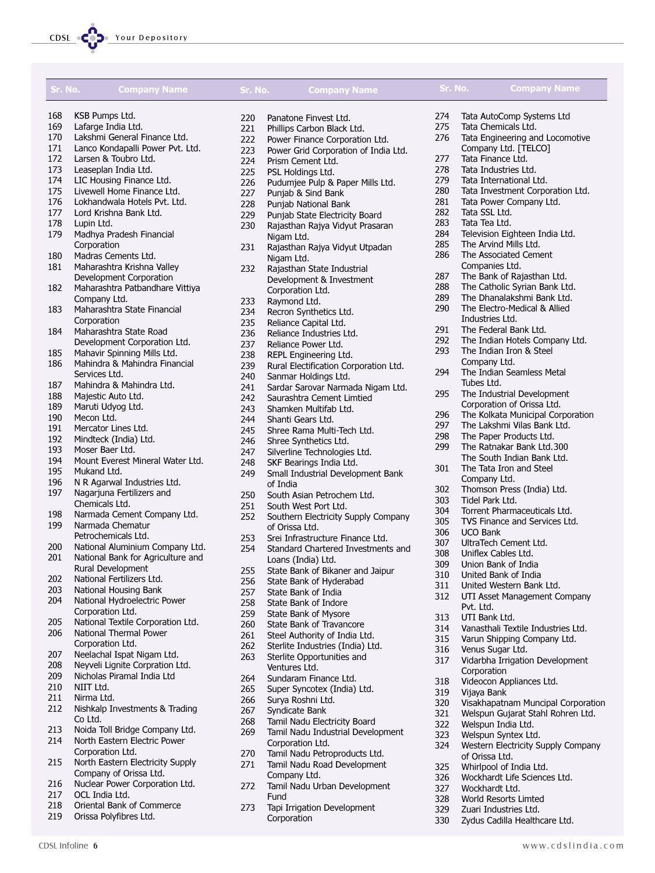

| Sr. No. | <b>Company Name</b>               | Sr. No. | <b>Company Name</b>                    | Sr. No. | <b>Company Name</b>                |
|---------|-----------------------------------|---------|----------------------------------------|---------|------------------------------------|
| 168     | KSB Pumps Ltd.                    | 220     | Panatone Finvest Ltd.                  | 274     | Tata AutoComp Systems Ltd          |
| 169     | Lafarge India Ltd.                | 221     | Phillips Carbon Black Ltd.             | 275     | Tata Chemicals Ltd.                |
| 170     | Lakshmi General Finance Ltd.      | 222     | Power Finance Corporation Ltd.         | 276     | Tata Engineering and Locomotive    |
| 171     | Lanco Kondapalli Power Pvt. Ltd.  | 223     | Power Grid Corporation of India Ltd.   |         | Company Ltd. [TELCO]               |
| 172     | Larsen & Toubro Ltd.              | 224     | Prism Cement Ltd.                      | 277     | Tata Finance Ltd.                  |
| 173     | Leaseplan India Ltd.              | 225     | PSL Holdings Ltd.                      | 278     | Tata Industries Ltd.               |
| 174     | LIC Housing Finance Ltd.          | 226     | Pudumjee Pulp & Paper Mills Ltd.       | 279     | Tata International Ltd.            |
| 175     | Livewell Home Finance Ltd.        | 227     | Punjab & Sind Bank                     | 280     | Tata Investment Corporation Ltd.   |
| 176     | Lokhandwala Hotels Pvt. Ltd.      | 228     | Punjab National Bank                   | 281     | Tata Power Company Ltd.            |
| 177     | Lord Krishna Bank Ltd.            | 229     | Punjab State Electricity Board         | 282     | Tata SSL Ltd.                      |
| 178     | Lupin Ltd.                        | 230     | Rajasthan Rajya Vidyut Prasaran        | 283     | Tata Tea Ltd.                      |
| 179     | Madhya Pradesh Financial          |         | Nigam Ltd.                             | 284     | Television Eighteen India Ltd.     |
|         | Corporation                       | 231     | Rajasthan Rajya Vidyut Utpadan         | 285     | The Arvind Mills Ltd.              |
| 180     | Madras Cements Ltd.               |         | Nigam Ltd.                             | 286     | The Associated Cement              |
| 181     | Maharashtra Krishna Valley        | 232     | Rajasthan State Industrial             |         | Companies Ltd.                     |
|         | Development Corporation           |         | Development & Investment               | 287     | The Bank of Rajasthan Ltd.         |
| 182     | Maharashtra Patbandhare Vittiya   |         | Corporation Ltd.                       | 288     | The Catholic Syrian Bank Ltd.      |
|         | Company Ltd.                      | 233     | Raymond Ltd.                           | 289     | The Dhanalakshmi Bank Ltd.         |
| 183     | Maharashtra State Financial       | 234     | Recron Synthetics Ltd.                 | 290     | The Electro-Medical & Allied       |
|         | Corporation                       | 235     | Reliance Capital Ltd.                  |         | Industries Ltd.                    |
| 184     | Maharashtra State Road            | 236     | Reliance Industries Ltd.               | 291     | The Federal Bank Ltd.              |
|         | Development Corporation Ltd.      | 237     | Reliance Power Ltd.                    | 292     | The Indian Hotels Company Ltd.     |
| 185     | Mahavir Spinning Mills Ltd.       | 238     | REPL Engineering Ltd.                  | 293     | The Indian Iron & Steel            |
| 186     | Mahindra & Mahindra Financial     | 239     | Rural Electification Corporation Ltd.  |         | Company Ltd.                       |
|         | Services Ltd.                     | 240     | Sanmar Holdings Ltd.                   | 294     | The Indian Seamless Metal          |
| 187     | Mahindra & Mahindra Ltd.          | 241     | Sardar Sarovar Narmada Nigam Ltd.      |         | Tubes Ltd.                         |
| 188     | Majestic Auto Ltd.                | 242     | Saurashtra Cement Limtied              | 295     | The Industrial Development         |
| 189     | Maruti Udyog Ltd.                 | 243     | Shamken Multifab Ltd.                  |         | Corporation of Orissa Ltd.         |
| 190     | Mecon Ltd.                        | 244     | Shanti Gears Ltd.                      | 296     | The Kolkata Municipal Corporation  |
| 191     | Mercator Lines Ltd.               | 245     | Shree Rama Multi-Tech Ltd.             | 297     | The Lakshmi Vilas Bank Ltd.        |
| 192     | Mindteck (India) Ltd.             | 246     | Shree Synthetics Ltd.                  | 298     | The Paper Products Ltd.            |
| 193     | Moser Baer Ltd.                   | 247     | Silverline Technologies Ltd.           | 299     | The Ratnakar Bank Ltd.300          |
| 194     | Mount Everest Mineral Water Ltd.  | 248     | SKF Bearings India Ltd.                |         | The South Indian Bank Ltd.         |
| 195     | Mukand Ltd.                       | 249     | Small Industrial Development Bank      | 301     | The Tata Iron and Steel            |
| 196     | N R Agarwal Industries Ltd.       |         | of India                               |         | Company Ltd.                       |
| 197     | Nagarjuna Fertilizers and         | 250     | South Asian Petrochem Ltd.             | 302     | Thomson Press (India) Ltd.         |
|         | Chemicals Ltd.                    | 251     | South West Port Ltd.                   | 303     | Tidel Park Ltd.                    |
| 198     | Narmada Cement Company Ltd.       | 252     | Southern Electricity Supply Company    | 304     | Torrent Pharmaceuticals Ltd.       |
| 199     | Narmada Chematur                  |         | of Orissa Ltd.                         | 305     | TVS Finance and Services Ltd.      |
|         | Petrochemicals Ltd.               | 253     | Srei Infrastructure Finance Ltd.       | 306     | <b>UCO Bank</b>                    |
| 200     | National Aluminium Company Ltd.   | 254     | Standard Chartered Investments and     | 307     | UltraTech Cement Ltd.              |
| 201     | National Bank for Agriculture and |         | Loans (India) Ltd.                     | 308     | Uniflex Cables Ltd.                |
|         | Rural Development                 | 255     | State Bank of Bikaner and Jaipur       | 309     | Union Bank of India                |
| 202     | National Fertilizers Ltd.         | 256     | State Bank of Hyderabad                | 310     | United Bank of India               |
| 203     | National Housing Bank             | 257     | State Bank of India                    | 311     | United Western Bank Ltd.           |
| 204     | National Hydroelectric Power      | 258     | State Bank of Indore                   | 312     | UTI Asset Management Company       |
|         | Corporation Ltd.                  | 259     | State Bank of Mysore                   |         | Pvt. Ltd.                          |
| 205     | National Textile Corporation Ltd. | 260     | State Bank of Travancore               | 313     | UTI Bank Ltd.                      |
| 206     | National Thermal Power            | 261     | Steel Authority of India Ltd.          | 314     | Vanasthali Textile Industries Ltd. |
|         | Corporation Ltd.                  | 262     |                                        | 315     | Varun Shipping Company Ltd.        |
| 207     | Neelachal Ispat Nigam Ltd.        | 263     | Sterlite Industries (India) Ltd.       | 316     | Venus Sugar Ltd.                   |
| 208     | Neyveli Lignite Corpration Ltd.   |         | Sterlite Opportunities and             | 317     | Vidarbha Irrigation Development    |
| 209     | Nicholas Piramal India Ltd        |         | Ventures Ltd.<br>Sundaram Finance Ltd. |         | Corporation                        |
| 210     | NIIT Ltd.                         | 264     |                                        | 318     | Videocon Appliances Ltd.           |
| 211     | Nirma Ltd.                        | 265     | Super Syncotex (India) Ltd.            | 319     | Vijaya Bank                        |
| 212     | Nishkalp Investments & Trading    | 266     | Surya Roshni Ltd.                      | 320     | Visakhapatnam Muncipal Corporation |
|         | Co Ltd.                           | 267     | Syndicate Bank                         | 321     | Welspun Gujarat Stahl Rohren Ltd.  |
| 213     | Noida Toll Bridge Company Ltd.    | 268     | Tamil Nadu Electricity Board           | 322     | Welspun India Ltd.                 |
| 214     | North Eastern Electric Power      | 269     | Tamil Nadu Industrial Development      | 323     | Welspun Syntex Ltd.                |
|         | Corporation Ltd.                  |         | Corporation Ltd.                       | 324     | Western Electricity Supply Company |
| 215     | North Eastern Electricity Supply  | 270     | Tamil Nadu Petroproducts Ltd.          |         | of Orissa Ltd.                     |
|         | Company of Orissa Ltd.            | 271     | Tamil Nadu Road Development            | 325     | Whirlpool of India Ltd.            |
| 216     | Nuclear Power Corporation Ltd.    |         | Company Ltd.                           | 326     | Wockhardt Life Sciences Ltd.       |
|         |                                   | 272     | Tamil Nadu Urban Development           | 327     | Wockhardt Ltd.                     |

Fund

273 Tapi Irrigation Development Corporation

- 217 OCL India Ltd.
- 218 Oriental Bank of Commerce
- 219 Orissa Polyfibres Ltd.

328 World Resorts Limted 329 Zuari Industries Ltd. 330 Zydus Cadilla Healthcare Ltd.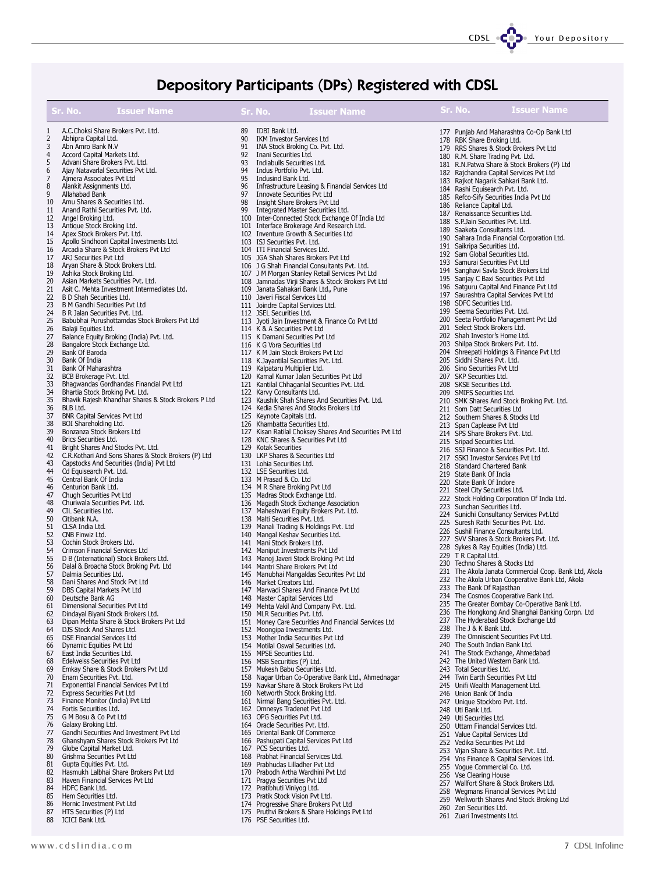#### CDSL CODe Your Depository

# Depository Participants (DPs) Registered with CDSL

|          | Sr. No.<br><b>Issuer Name</b>                                                             |          | Sr. No.<br><b>Issuer Name</b>                                                                       | <b>Sr. No.</b><br><b>Issuer Name</b>                                                              |
|----------|-------------------------------------------------------------------------------------------|----------|-----------------------------------------------------------------------------------------------------|---------------------------------------------------------------------------------------------------|
|          | A.C.Choksi Share Brokers Pvt. Ltd.                                                        | 89       | IDBI Bank Ltd.                                                                                      | 177 Punjab And Maharashtra Co-Op Bank Ltd                                                         |
| 2<br>3   | Abhipra Capital Ltd.<br>Abn Amro Bank N.V                                                 | 90       | IKM Investor Services Ltd<br>91 INA Stock Broking Co. Pvt. Ltd.                                     | 178 RBK Share Broking Ltd.                                                                        |
| 4        | Accord Capital Markets Ltd.                                                               | 92       | Inani Securities Ltd.                                                                               | 179 RRS Shares & Stock Brokers Pvt Ltd<br>180 R.M. Share Trading Pvt. Ltd.                        |
| 5        | Advani Share Brokers Pvt. Ltd.                                                            | 93       | Indiabulls Securities Ltd.                                                                          | 181 R.N.Patwa Share & Stock Brokers (P) Ltd                                                       |
| 6<br>7   | Ajay Natavarlal Securities Pvt Ltd.<br>Ajmera Associates Pvt Ltd                          | 94<br>95 | Indus Portfolio Pvt. Ltd.<br>Indusind Bank Ltd.                                                     | 182 Rajchandra Capital Services Pvt Ltd                                                           |
| 8        | Alankit Assignments Ltd.                                                                  | 96       | Infrastructure Leasing & Financial Services Ltd                                                     | 183 Rajkot Nagarik Sahkari Bank Ltd.                                                              |
| 9        | Allahabad Bank                                                                            | 97       | Innovate Securities Pvt Ltd                                                                         | 184 Rashi Equisearch Pvt. Ltd.<br>185 Refco-Sify Securities India Pvt Ltd                         |
| 10       | Amu Shares & Securities Ltd.                                                              | 98       | Insight Share Brokers Pvt Ltd                                                                       | 186 Reliance Capital Ltd.                                                                         |
| 11<br>12 | Anand Rathi Securities Pvt. Ltd.<br>Angel Broking Ltd.                                    | 99       | Integrated Master Securities Ltd.<br>100 Inter-Connected Stock Exchange Of India Ltd                | 187 Renaissance Securities Ltd.                                                                   |
| 13       | Antique Stock Broking Ltd.                                                                |          | 101 Interface Brokerage And Research Ltd.                                                           | 188 S.P.Jain Securities Pvt. Ltd.<br>189 Saaketa Consultants Ltd.                                 |
| 14       | Apex Stock Brokers Pvt. Ltd.                                                              |          | 102 Inventure Growth & Securities Ltd                                                               | 190 Sahara India Financial Corporation Ltd.                                                       |
| 15<br>16 | Apollo Sindhoori Capital Investments Ltd.<br>Arcadia Share & Stock Brokers Pvt Ltd        |          | 103 ISJ Securities Pvt. Ltd.<br>104 ITI Financial Services Ltd.                                     | 191 Saikripa Securities Ltd.                                                                      |
| 17       | ARJ Securities Pvt Ltd                                                                    |          | 105 JGA Shah Shares Brokers Pvt Ltd                                                                 | 192 Sam Global Securities Ltd.                                                                    |
| 18       | Aryan Share & Stock Brokers Ltd.                                                          |          | 106 J G Shah Financial Consultants Pvt. Ltd.                                                        | 193 Samurai Securities Pvt Ltd<br>194 Sanghavi Savla Stock Brokers Ltd                            |
| 19<br>20 | Ashika Stock Broking Ltd.<br>Asian Markets Securities Pvt. Ltd.                           |          | 107 J M Morgan Stanley Retail Services Pvt Ltd<br>108 Jamnadas Virji Shares & Stock Brokers Pvt Ltd | 195 Sanjay C Baxi Securities Pvt Ltd                                                              |
| 21       | Asit C. Mehta Investment Intermediates Ltd.                                               |          | 109 Janata Sahakari Bank Ltd., Pune                                                                 | 196 Satguru Capital And Finance Pvt Ltd                                                           |
| 22       | B D Shah Securities Ltd.                                                                  |          | 110 Javeri Fiscal Services Ltd                                                                      | 197 Saurashtra Capital Services Pvt Ltd                                                           |
| 23       | B M Gandhi Securities Pvt Ltd                                                             |          | 111 Joindre Capital Services Ltd.<br>112 JSEL Securities Ltd.                                       | 198 SDFC Securities Ltd.<br>199 Seema Securities Pvt. Ltd.                                        |
| 24<br>25 | B R Jalan Securities Pvt. Ltd.<br>Babubhai Purushottamdas Stock Brokers Pvt Ltd           |          | 113 Jyoti Jain Investment & Finance Co Pvt Ltd                                                      | 200 Seeta Portfolio Management Pvt Ltd                                                            |
| 26       | Balaji Equities Ltd.                                                                      |          | 114 K & A Securities Pvt Ltd                                                                        | 201 Select Stock Brokers Ltd.                                                                     |
| 27       | Balance Equity Broking (India) Pvt. Ltd.                                                  |          | 115 K Damani Securities Pvt Ltd                                                                     | 202 Shah Investor's Home Ltd.                                                                     |
| 28<br>29 | Bangalore Stock Exchange Ltd.<br>Bank Of Baroda                                           |          | 116 K G Vora Securities Ltd<br>117 K M Jain Stock Brokers Pvt Ltd                                   | 203 Shilpa Stock Brokers Pvt. Ltd.<br>204 Shreepati Holdings & Finance Pvt Ltd                    |
| 30       | Bank Of India                                                                             |          | 118 K. Jayantilal Securities Pvt. Ltd.                                                              | 205 Siddhi Shares Pvt. Ltd.                                                                       |
| 31       | Bank Of Maharashtra                                                                       |          | 119 Kalpataru Multiplier Ltd.                                                                       | 206 Sino Securities Pvt Ltd                                                                       |
| 32<br>33 | BCB Brokerage Pvt. Ltd.<br>Bhagwandas Gordhandas Financial Pvt Ltd                        |          | 120 Kamal Kumar Jalan Securities Pvt Ltd<br>121 Kantilal Chhaganlal Securities Pvt. Ltd.            | 207 SKP Securities Ltd.<br>208 SKSE Securities Ltd.                                               |
| 34       | Bhartia Stock Broking Pvt. Ltd.                                                           |          | 122 Karvy Consultants Ltd.                                                                          | 209 SMIFS Securities Ltd.                                                                         |
| 35       | Bhavik Rajesh Khandhar Shares & Stock Brokers P Ltd                                       |          | 123 Kaushik Shah Shares And Securities Pvt. Ltd.                                                    | 210 SMK Shares And Stock Broking Pvt. Ltd.                                                        |
| 36<br>37 | BLB Ltd.<br>BNR Capital Services Pvt Ltd                                                  |          | 124 Kedia Shares And Stocks Brokers Ltd                                                             | 211 Som Datt Securities Ltd                                                                       |
| 38       | BOI Shareholding Ltd.                                                                     |          | 125 Keynote Capitals Ltd.<br>126 Khambatta Securities Ltd.                                          | 212 Southern Shares & Stocks Ltd<br>213 Span Caplease Pvt Ltd                                     |
| 39       | Bonzanza Stock Brokers Ltd                                                                |          | 127 Kisan Ratilal Choksey Shares And Securities Pvt Ltd                                             | 214 SPS Share Brokers Pvt. Ltd.                                                                   |
| 40       | Brics Securities Ltd.                                                                     |          | 128 KNC Shares & Securities Pvt Ltd                                                                 | 215 Sripad Securities Ltd.                                                                        |
| 41<br>42 | Bright Shares And Stocks Pvt. Ltd.<br>C.R.Kothari And Sons Shares & Stock Brokers (P) Ltd |          | 129 Kotak Securities<br>130 LKP Shares & Securities Ltd                                             | 216 SSJ Finance & Securities Pvt. Ltd.<br>217 SSKI Investor Services Pvt Ltd                      |
| 43       | Capstocks And Securities (India) Pvt Ltd                                                  |          | 131 Lohia Securities Ltd.                                                                           | 218 Standard Chartered Bank                                                                       |
| 44       | Cd Equisearch Pvt. Ltd.                                                                   |          | 132 LSE Securities Ltd.                                                                             | 219 State Bank Of India                                                                           |
| 45<br>46 | Central Bank Of India<br>Centurion Bank Ltd.                                              |          | 133 M Prasad & Co. Ltd<br>134 M R Share Broking Pvt Ltd                                             | 220 State Bank Of Indore                                                                          |
| 47       | Chugh Securities Pvt Ltd                                                                  |          | 135 Madras Stock Exchange Ltd.                                                                      | 221 Steel City Securities Ltd.<br>222 Stock Holding Corporation Of India Ltd.                     |
| 48       | Churiwala Securities Pvt. Ltd.                                                            |          | 136 Magadh Stock Exchange Association                                                               | 223 Sunchan Securities Ltd.                                                                       |
| 49<br>50 | CIL Securities Ltd.<br>Citibank N.A.                                                      |          | 137 Maheshwari Equity Brokers Pvt. Ltd.<br>138 Malti Securities Pvt. Ltd.                           | 224 Sunidhi Consultancy Services Pvt.Ltd                                                          |
| 51       | CLSA India Ltd.                                                                           |          | 139 Manali Trading & Holdings Pvt. Ltd                                                              | 225 Suresh Rathi Securities Pvt. Ltd.                                                             |
| 52       | CNB Finwiz Ltd.                                                                           |          | 140 Mangal Keshav Securities Ltd.                                                                   | 226 Sushil Finance Consultants Ltd.<br>227 SVV Shares & Stock Brokers Pvt. Ltd.                   |
| 53<br>54 | Cochin Stock Brokers Ltd.<br>Crimson Financial Services Ltd                               |          | 141 Mani Stock Brokers Ltd.<br>142 Maniput Investments Pvt Ltd                                      | 228 Sykes & Ray Equities (India) Ltd.                                                             |
| 55       | D B (International) Stock Brokers Ltd.                                                    |          | 143 Manoj Javeri Stock Broking Pvt Ltd                                                              | 229 T R Capital Ltd.                                                                              |
| 56       | Dalal & Broacha Stock Broking Pvt. Ltd                                                    |          | 144 Mantri Share Brokers Pvt Ltd                                                                    | 230 Techno Shares & Stocks Ltd<br>231 The Akola Janata Commercial Coop. Bank Ltd, Akola           |
| 57<br>58 | Dalmia Securities Ltd.<br>Dani Shares And Stock Pvt Ltd                                   |          | 145 Manubhai Mangaldas Securites Pvt Ltd<br>146 Market Creators Ltd.                                | 232 The Akola Urban Cooperative Bank Ltd, Akola                                                   |
|          | 59 DBS Capital Markets Pvt Ltd                                                            |          | 147 Marwadi Shares And Finance Pvt Ltd                                                              | 233 The Bank Of Rajasthan                                                                         |
| 60       | Deutsche Bank AG                                                                          |          | 148 Master Capital Services Ltd                                                                     | 234 The Cosmos Cooperative Bank Ltd.                                                              |
| 61<br>62 | Dimensional Securities Pvt Ltd<br>Dindayal Biyani Stock Brokers Ltd.                      |          | 149 Mehta Vakil And Company Pvt. Ltd.<br>150 MLR Securities Pvt. Ltd.                               | 235 The Greater Bombay Co-Operative Bank Ltd.<br>236 The Hongkong And Shanghai Banking Corpn. Ltd |
| 63       | Dipan Mehta Share & Stock Brokers Pvt Ltd                                                 |          | 151 Money Care Securities And Financial Services Ltd                                                | 237 The Hyderabad Stock Exchange Ltd                                                              |
| 64       | DJS Stock And Shares Ltd.                                                                 |          | 152 Moongipa Investments Ltd.                                                                       | 238 The J & K Bank Ltd.                                                                           |
| 65       | DSE Financial Services Ltd                                                                |          | 153 Mother India Securities Pvt Ltd                                                                 | 239 The Omniscient Securities Pvt Ltd.<br>240 The South Indian Bank Ltd.                          |
| 66<br>67 | Dynamic Equities Pvt Ltd<br>East India Securities Ltd.                                    |          | 154 Motilal Oswal Securities Ltd.<br>155 MPSE Securities Ltd.                                       | 241 The Stock Exchange, Ahmedabad                                                                 |
| 68       | Edelweiss Securities Pvt Ltd                                                              |          | 156 MSB Securities (P) Ltd.                                                                         | 242 The United Western Bank Ltd.                                                                  |
| 69       | Emkay Share & Stock Brokers Pvt Ltd                                                       |          | 157 Mukesh Babu Securities Ltd.                                                                     | 243 Total Securities Ltd.                                                                         |
| 70<br>71 | Enam Securities Pvt. Ltd.<br>Exponential Financial Services Pvt Ltd                       |          | 158 Nagar Urban Co-Operative Bank Ltd., Ahmednagar<br>159 Navkar Share & Stock Brokers Pvt Ltd      | 244 Twin Earth Securities Pvt Ltd<br>245 Unifi Wealth Management Ltd.                             |
| 72       | <b>Express Securities Pvt Ltd</b>                                                         |          | 160 Networth Stock Broking Ltd.                                                                     | 246 Union Bank Of India                                                                           |
| 73       | Finance Monitor (India) Pvt Ltd                                                           |          | 161 Nirmal Bang Securities Pvt. Ltd.                                                                | 247 Unique Stockbro Pvt. Ltd.                                                                     |
| 74<br>75 | Fortis Securities Ltd.<br>G M Bosu & Co Pvt Ltd                                           |          | 162 Omnesys Tradenet Pvt Ltd<br>163 OPG Securities Pvt Ltd.                                         | 248 Uti Bank Ltd.                                                                                 |
| 76       | Galaxy Broking Ltd.                                                                       |          | 164 Oracle Securities Pvt. Ltd.                                                                     | 249 Uti Securities Ltd.<br>250 Uttam Financial Services Ltd.                                      |
| 77       | Gandhi Securities And Investment Pvt Ltd                                                  |          | 165 Oriental Bank Of Commerce                                                                       | 251 Value Capital Services Ltd                                                                    |
| 78       | Ghanshyam Shares Stock Brokers Pvt Ltd                                                    |          | 166 Pashupati Capital Services Pvt Ltd                                                              | 252 Vedika Securities Pvt Ltd                                                                     |
| 79<br>80 | Globe Capital Market Ltd.<br>Grishma Securities Pvt Ltd                                   |          | 167 PCS Securities Ltd.<br>168 Prabhat Financial Services Ltd.                                      | 253 Vijan Share & Securities Pvt. Ltd.                                                            |
| 81       | Gupta Equities Pvt. Ltd.                                                                  |          | 169 Prabhudas Lilladher Pvt Ltd                                                                     | 254 Vns Finance & Capital Services Ltd.<br>255 Vogue Commercial Co. Ltd.                          |
| 82       | Hasmukh Lalbhai Share Brokers Pvt Ltd                                                     |          | 170 Prabodh Artha Wardhini Pvt Ltd                                                                  | 256 Vse Clearing House                                                                            |
| 83<br>84 | Haven Financial Services Pvt Ltd<br>HDFC Bank Ltd.                                        |          | 171 Pragya Securities Pvt Ltd<br>172 Pratibhuti Viniyog Ltd.                                        | 257 Wallfort Share & Stock Brokers Ltd.                                                           |
| 85       | Hem Securities Ltd.                                                                       |          | 173 Pratik Stock Vision Pvt Ltd.                                                                    | 258 Wegmans Financial Services Pvt Ltd<br>259 Wellworth Shares And Stock Broking Ltd              |
| 86       | Hornic Investment Pvt Ltd                                                                 |          | 174 Progressive Share Brokers Pvt Ltd                                                               | 260 Zen Securities Ltd.                                                                           |
| 87<br>88 | HTS Securities (P) Ltd<br>ICICI Bank Ltd.                                                 |          | 175 Pruthvi Brokers & Share Holdings Pvt Ltd<br>176 PSE Securities Ltd.                             | 261 Zuari Investments Ltd.                                                                        |